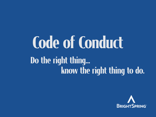# Code of Conduct Do the right thing... know the right thing to do.

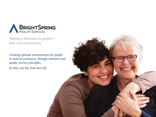

Making a difference in people's lives and communities.

*Creating optimal environments for people in need of assistance, through attentive and quality service principles. So they can live their best life.*

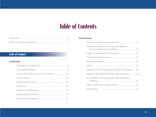### Table of Contents

#### **Code of Conduct**

#### *Leadership*

| Kickbacks, Gratuities and Anti-Bribery 10 |  |
|-------------------------------------------|--|
|                                           |  |
|                                           |  |
|                                           |  |
|                                           |  |
|                                           |  |
|                                           |  |

#### *Environment*

| Quality of Supports and Services 12               |
|---------------------------------------------------|
| Privacy Rules and Guidelines 12                   |
| Rights of Individuals We Support 13               |
|                                                   |
|                                                   |
|                                                   |
| Funds and Private Property of People We Support14 |
| Alcohol- and Drug-Free Work Environment14         |
|                                                   |
| Equal Employment Opportunity  15                  |
|                                                   |
|                                                   |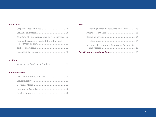#### *Get Going!*

| Reporting of Time Worked and Services Provided17 |  |
|--------------------------------------------------|--|
| Financial Disclosure, Insider Information and    |  |
|                                                  |  |
|                                                  |  |

#### *Attitude*

Violations of the Code of Conduct ..........................19

#### *Communication*

#### *You!*

| Managing Company Resources and Assets 23      |  |
|-----------------------------------------------|--|
|                                               |  |
|                                               |  |
|                                               |  |
| Accuracy, Retention and Disposal of Documents |  |
|                                               |  |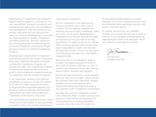BrightSpring is committed to providing the highest quality supports to all persons. It is our responsibility to ensure an ethical and compassionate approach to service delivery and management. With the growth in our services and personnel over the past few years, it is vital for BrightSpring to maintain our high standard of quality, compliance and ethical behavior. We have enhanced our existing programs by formalizing the necessary compliance activities for Bright-Spring to achieve an effective Compliance Program.

BrightSpring's commitment to compliance was demonstrated by the Board of Directors when they signed the Resolution formally creating the Compliance Program on January 10, 2001. The Compliance Program is based upon standards that serve as a guide to each employee's conduct involving our operations and the people we support.

A very important element of an effective compliance program is a Code of Conduct. The Code of Conduct has been reviewed by Regional/Divisional Management and Resource Center Leadership and has been approved by the Ethics and Compliance Committee of the Board of Directors.

It is critical that you understand your responsibility to not only adhere to these principles of conduct, but to also actively participate in

and promote compliance.

We are committed to the ideals in our Common Purpose and in this Code of Conduct. We are equally committed to ensuring that our actions consistently reflect our words. In this spirit, BrightSpring is committed to be the best diversified health and human services provider in serving populations of various needs in our communities, creating optimal environments that foster independence, safety and outcomes through best-in-class services, an innovative and technology-led approach, and highly engaged people.

We expect all of our colleagues' actions to reflect the high standards set forth in this Code of Conduct. However, no code of conduct can substitute for our own internal sense of ethics, honesty and integrity.

Should you find yourself in a work situation that just "does not feel right," please discuss the situation with your supervisor, another member of local management, your regional/divisional management team or any member of the Compliance Department.

You may also call the Compliance Action Line at 866.293.3863. You have our personal assurance there will be no retaliation for asking questions or raising good-faith concerns about the Code of Conduct or

for reporting possible improper conduct. Improper use of the Compliance Action Line for intentional false reporting, however, will lead to corrective action.

In closing, we trust you as a valuable member of our team. We ask you to assist us and all of our colleagues at BrightSpring in supporting the values and principles which are critical to achieving our mission.

Jon Kennaace

*Jon Rousseau, President and CEO*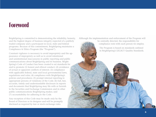### **Foreword**

BrightSpring is committed to demonstrating the reliability, honesty, and the highest degree of business integrity expected of a publicly traded company and a participant in local, state and federal programs. Because of this commitment, BrightSpring maintains a Compliance & Ethics Program (the "Program").

Constant vigilance is necessary to avoid impropriety and the appearance of impropriety as well as to avoid intentional and unintentional inaccuracies in public reporting and public communications about BrightSpring and its business. Bright-Spring's Code of Conduct has been created to set standards for and to promote (1) honest and ethical conduct; (2) avoidance of actual or apparent conflicts of interest; (3) compliance with applicable federal, state and local governmental laws, regulations and rules; (4) compliance with BrightSpring's policies and procedures; (5) prompt internal reporting to appropriate persons of violations of the Code; (6) full, fair, accurate, timely and understandable disclosure in reports and documents that BrightSpring may file with or furnish to the Securities and Exchange Commission and in other public communications BrightSpring makes; and (7) accountability for adhering to the Code.

Any exception of this Code may be made only by the Board of Directors or its designee and will be promptly disclosed as required by law or stock exchange rules.

Although the implementation and enforcement of the Program will

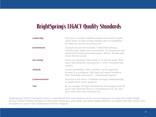### BrightSpring's LEGACY Quality Standards

| <b>Leadership</b>    | Everyone is a leader. Establish purpose and coach to make<br>others better. A sense of high integrity and accountability –<br>do what you say you are going to do.                                     |
|----------------------|--------------------------------------------------------------------------------------------------------------------------------------------------------------------------------------------------------|
| <b>Environment</b>   | A people-focused environment. Collaborate among a<br>trusting team; police your environment. Be transparent and<br>honest and reward good performance. Attract, develop and<br>retain the best people. |
| <b>Get Going!</b>    | Know your business! Take action to set and hit goals. Work<br>smart and efficiently, moving with a sense of purpose and<br>urgency.                                                                    |
| <b>Attitude</b>      | See the possibilities. Take a positive, can-do approach<br>because it is contagious. Aim high and expect excellence.<br>Take ownership and control – continuously improve.                             |
| <b>Communication</b> | Everyone in the know. Coordinate through communicating<br>so people know what's going on.                                                                                                              |
| You!                 | Be an example. Set high standards but note progress and the<br>good. Your character shows in everything you do. Do your<br>part, build your team and have fun.                                         |

BrightSpring's LEGACY Standards require a commitment from each employee for its success. Employees are expected to follow Bright-Spring's LEGACY Quality Standards in their daily interactions with clients and clients' family members, co-workers and other persons they encounter as a part of their employment with the Company.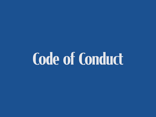# Code of Conduct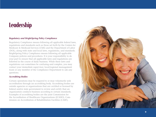### Leadership

#### *Regulatory and BrightSpring Policy Compliance*

Regulatory Compliance means following all applicable federal laws, regulations and standards such as those set forth by the Centers for Medicare & Medicaid Services (CMS) and the Department of Labor (DOL), along with state and local laws, regulations, and standards. BrightSpring Policy Compliance means following all applicable Company policies and procedures. It is your responsibility to do your part to ensure that all applicable laws and regulations are followed in the course of daily business. While these laws and regulations can sometimes be confusing and complex, you may contact your immediate supervisor, local/regional management team or any member of the Compliance Department to ask any questions.

#### *Accrediting Bodies*

Certain operations may be required to or may voluntarily seek accreditation through an accrediting body. Accrediting bodies are outside agencies or organizations that are certified or licensed by federal and/or state government to review and certify that an organization conducts business according to certain standards. Examples of accrediting bodies are the joint Commission for the Accreditation of Healthcare Organizations (JCAHO), Com mission on Accreditation of Rehabilitation Facilities (CARF),

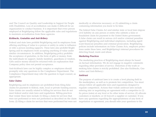and The Council on Quality and Leadership in Support for People with Disabilities. Loss of accreditation can make it difficult for an organization to conduct business. It is important that every person employed at BrightSpring follow the applicable rules and regulations to maintain accreditation from these agencies.

#### *Kickbacks, Gratuities and Anti-Bribery*

Federal and state laws prohibit BrightSpring and its employees from offering anything of value to a person or entity in order to influence or refer a person needing supports. These laws also prohibit Bright-Spring and its employees from accepting anything of value under similar circumstances. In addition, BrightSpring policy prohibits the acceptance of gratuities, in the form of gifts or money, from the individuals we support, family members, guardians or vendors. Gifts and/or money should be returned with an explanation that Company policy does not permit acceptance.

Anti-kickback laws can be highly complex so employees should promptly refer any questions to the Compliance Department. The Compliance Department may refer the question to legal counsel, as appropriate.

#### *False Claims*

BrightSpring and its employees are prohibited from filing false claims for payment to federal, state, local or private funding sources. False claims are usually related to billing for services that do not meet federal and/or state laws and regulations. Billing practices that violate these laws include (1) filing a claim for services that were not performed or were not performed as described on the claim form; (2) filing a claim for services that were performed but were not

medically or otherwise necessary; or (3) submitting a claim containing information you know to be false.

The federal False Claims Act and similar state or local laws impose civil liability on any person or entity who submits a false or fraudulent claim for payment to the United States government. A false claim can result in serious civil and/or criminal penalties against BrightSpring and individual employees, including significant financial penalties and criminal prosecution. BrightSpring policies include information on False Claims Acts, employee protections under these laws, and BrightSpring's internal procedures for detecting fraud, waste and abuse.

#### *Marketing Practices*

The marketing practices of BrightSpring must always be based on factual information. We do not engage in negative comments regarding other providers of service. Distortion of the truth or making false claims is strictly prohibited. (See also Kickbacks, Gratuities and Anti-Bribery.)

#### *Antitrust*

The purpose of antitrust laws is to create a level playing field in the marketplace, as well as to promote fair competition. You must always follow all applicable laws and regulations designed to regulate competition. Actions that violate antitrust laws include entering into or negotiating an agreement with a competitor to (1) fix prices (rates) at any level or fix other terms of service; (2) allocate customers or markets; or (3) boycott a supplier or customer. If you have any questions regarding the appropriateness of any form of negotiation or agreement, you should refer your questions to the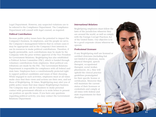Legal Department. However, any suspected violations are to be referred to the Compliance Department. The Compliance Department will consult with legal counsel, as required.

#### *Political Contributions*

Because public policy issues have the potential to impact the Company's business, its employees, and the people we serve, the Company's management believes that in certain cases it may be appropriate and in the Company's best interests to use its resources to make political contributions. Therefore, if legally permissible, such contributions may be made by the Company with the prior written approval of the Vice President for Government Relations. BrightSpring has also established a Political Action Committee (PAC), which is funded through voluntary contributions from employees. Most political con tributions are made by the PAC. The Government Relations Department is responsible for compliance with all federal and state laws. Employees have a constitutionally protected right to support political candidates and issues of their choosing. While engaged in such activities, employees must at all times make clear that their views and actions are their own, and not those of BrightSpring. At times, BrightSpring may alert you of public policy issues that may impact BrightSpring's business. The Company may ask for volunteers to make personal contact with government officials or to write letters to present our position on specific issues. If you have any questions regarding political activity, you may contact the Government Relations Department.

#### *International Relations*

BrightSpring employees must follow the laws of the jurisdiction wherever they are around the world, as well as comply with the Foreign Corrupt Practices Act of the United States. Our objective is to be a good corporate citizen wherever we operate.

#### *Professional Licensure*

If any BrightSpring staff are licensed or certified clinicians (including but not limited to physician, nurse, physical therapist, speech therapist, occupational therapist, social worker, pharmacist, etc.), they will uphold the clinical practice guidelines promulgated for their specific license or certification. Moreover they will maintain the current status of their licensure or credentials and comply at all times with federal and state requirements for their discipline.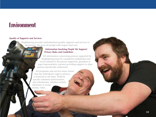### Environment

#### *Quality of Supports and Services*

BrightSpring provides individualized quality supports and services to all persons. We treat all people with respect and care.

#### *Information Involving People We Support/ Privacy Rules and Guidelines*

All information concerning persons supported by BrightSpring must be considered confidential and access limited to the person supported, guardian or legal representative, persons providing support or other persons specifically authorized.

All programs and services must ensure that the individual's right to privacy is honored at all times. Without specific informed authorization, any information, whether written, electronic or social media, video,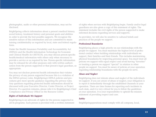photographic, audio or other personal information, may not be disclosed.

BrightSpring collects information about a person's medical history, social history, treatment history and personal goals and abilities in order to provide the best possible supports. We recognize the sensitive nature of this information and are committed to maintaining confidentiality as required by local, state and federal regulations.

Under the Health Insurance Portability and Accountability Act (HIPAA) and the Health Information Technology for Economic and Clinical Health Act (HITECH), you may discuss person-specific health/medical information with others only when necessary to provide a service or as required by law. Person-specific information may be released for all other purposes only with written authorization from the person supported or that person's legal guardian, as appropriate.

You may not disclose protected health information that violates the privacy of any person supported because this is a violation of the HIPAA privacy rules. BrightSpring's HIPAA policies and procedures give more specific guidance regarding the privacy rules. Any questions regarding protected health information should be discussed with your Executive Director, Center Director, or Project Director. If a question remains, please refer it to BrightSpring's Chief Compliance and Privacy Officer in the Resource Center.

#### *Rights of Individuals We Support*

BrightSpring is an advocate of rights for the persons supported in all its programs. Each person is provided with a written statement

of rights when services with BrightSpring begin. Family and/or legal guardians are also given a copy of this statement of rights. The statement includes the civil rights of the person supported to make informed decisions regarding services and supports.

As providers, we will also be sensitive to cultural beliefs and practices of the people we support.

#### *Professional Boundaries*

BrightSpring places a high priority on our relationships with the people we support. You must maintain the highest level of professional conduct when building relationships with individuals we support, their families and their friends. This includes maintaining physical boundaries by respecting personal space. You must treat all persons we support with equal respect and avoid having "favorites" or treating a person we support "special" in relation to other people we support. You must be aware of policies at your operation regarding relationship boundaries with the people we serve.

#### *Abuse and Neglect*

BrightSpring does not tolerate abuse and neglect of the individuals we support. If you are aware of abuse or neglect, your obligation is to report it immediately through the established channels at your operation. There are time frames for reporting such incidents in each state, and it is very critical for you to follow the guidelines at your operation. It is your responsibility to uphold the mission statement of providing respect and care.

#### *Safety*

BrightSpringoperations must comply with all company, local,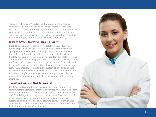state and federal rules/regulations that promote the protection of workplace health and safety. You must be familiar with safe workplace practices and safety regulations related to your job and to your working environment. It is important for you to report to your supervisor any workplace injury, as well as any situation presenting a danger of injury so that it can be corrected immediately.

#### *Funds and Private Property of People We Support*

BrightSpring employees may not wrongfully or unlawfully use funds, property or the identities of individuals we support. Bright - Spring will not tolerate the misappropriation of assets whether in the custody of BrightSpring or in the custody of the individual. BrightSpring employees have a duty to maintain adequate records of an individual's funds and property in the company's custody so that the funds and property may be promptly accounted for or delivered to the individual we support or their designated representative upon request. An individual's assets in the custody of BrightSpring shall be used only for the means intended for the benefit of the individual. In addition, BrightSpring employees may not purchase or borrow money or belongings from individuals we support or their family members.

#### *Alcohol- and Drug-Free Work Environment*

BrightSpring is committed to an alcohol-free and drug-free work environment to protect the interests of our employees and the people we support. You must report for work free of the influence of alcohol and illegal drugs. Reporting to work under the influence of alcohol or any illegal drug, having alcohol or any illegal drug in your system, or using, possessing or distributing any illegal drug while on work time or property will result in corrective action, up to and including termination of employment.

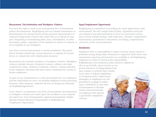#### *Harassment, Discrimination and Workplace Violence*

You have the right to work in an environment free of harassment and/or discrimination. BrightSpring will not tolerate harassment or discrimination by anyone based on the personal characteristics or cultural backgrounds of those who work with us or whom we support. Degrading or humiliating jokes, slurs, intimidation, or other harassing conduct, regardless of the medium in which it is shared, is not acceptable in our workplace.

Any form of sexual harassment is strictly prohibited. This prohibition includes unwelcome sexual advances or requests for sexual favors in conjunction with employment decisions.

Harassment also includes incidents of workplace violence. Workplace violence includes threats of physical violence, robbery and other commercial crimes, stalking or domestic violence, violence directed at the employer, terrorism and hate crimes committed by current or former employees.

As part of our commitment to a safe environment for our employees and the individuals we serve, we prohibit employees from possessing firearms, other weapons, explosive devices or dangerous materials on BrightSpringpremises.

If you observe or experience any form of harassment, discrimination or workplace violence you must report the incident to your immediate supervisor, local management, regional management, Bright-Spring's Human Resources Department or BrightSpring's Compliance Department.

#### *Equal Employment Opportunity*

BrightSpring is committed to providing an equal opportunity work environment. We will comply with all laws, regulations and policies related to non-discrimination in all of our personnel actions. Such actions include hirings, staff reductions, transfers, employment terminations, performance evaluations, recruiting, compensation, corrective action and promotions.

#### *Retaliation*

Employees have a responsibility to report concerns about actual or potential wrong-doing either witnessed or suspected. Both direct and anonymous reporting mechanisms are available to all BrightSpring employees to assist in meeting this responsibility. BrightSpring's non-retaliation policy protects employees, who in good faith, report known or suspected instances of inappropriate business conduct or activity that violates local, state or federal regulations or Company policy. Supervisors,

managers or employees are not permitted to engage in retaliation, retribution or any form of harassment or discrimination directed towards an employee who reports a good faith compliance concern.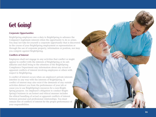### Get Going!

#### *Corporate Opportunities*

BrightSpring employees owe a duty to BrightSpring to advance the Company's legitimate interests when the opportunity to do so arises. You may not take for yourself a corporate opportunity that is discovered in the course of your BrightSpring employment or representation or through the use of corporate property, information or position, nor may you compete against BrightSpring.

#### *Conflicts of Interest*

Employees shall not engage in any activities that conflict or might appear to conflict with the interests of BrightSpring or its sub sidiaries and shall bring to the attention of the BrightSpring Compliance Department any information about any actual or apparent conflicts of interest involving employees or others with respect to BrightSpring.

A conflict of interest occurs when an employee's private interests interfere in any way with the interests of BrightSpring. A conflict of interest may also exist if the demands of any outside activities distract you from the performance of your job or cause you to use BrightSpring's resources for a non-Bright - Spring purpose. An employee's obligation to conduct Bright - Spring's business in an honest and ethical manner includes the ethical handling of actual or apparent conflicts of interest between personal and professional relationships. You must remain free of conflicts of interest for the proper performance of your responsibilities.

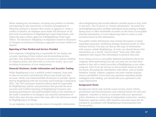Before making any investment, accepting any position or benefits, participating in any transaction or business arrangement or otherwise acting in a manner that creates or appears to create a conflict of interest, an employee must make full disclosure of all facts and circumstances to BrightSpring's Legal Department, and obtain the prior written approval of BrightSprings Chief Legal Officer. The disclosure obligations of employees extend to disclosure of changed circumstances relating to apparent or actual conflicts of interest.

#### *Reporting of Time Worked and Services Provided*

Each employee of BrightSpring is responsible for the timely and accurate reporting of time worked and documenting services provided. Any falsification of hours or services is a serious violation of company policy and will result in corrective action, up to and including termination of your employment.

#### *Financial Disclosure, Insider Information and Securities Trading*

While BrightSpring is not a publicly traded company, from time to time its executive and financial officers may make full, fair, accurate, timely and understandable disclosures in periodic reports filed by BrightSpring with the Securities and Exchange Commission (SEC). The CEO and senior financial officers shall be responsible for BrightSpring's policies and procedures that provide the most accurate and truthful reporting of BrightSpring's business and financial performance and shall promptly bring to the attention of the Audit Committee or its designee any material information of which they may become aware that may affect the disclosures made by BrightSpring in its filings.

As an employee, you may become aware of nonpublic information

about BrightSpring that would influence another person to buy, hold or sell stock. This is known as "insider information." Securities law and BrightSpring policy prohibit individuals from trading in Bright-Spring stock or other marketable securities on the basis of non-public material information or from influencing others to trade in such securities based on this information.

Non-public insider information may include discussions or plans regarding expansion, marketing strategy, financial results or other business activity. You may not discuss this type of information with anyone outside BrightSpring. At work, you should discuss this information on a strictly "need to know" basis only with other employees who require this information to perform their jobs.

If you obtain access to non-public material information about the company while performing your job, you may not use that information to buy, sell or retain securities of BrightSpring or any other company. Even if you do not buy or sell securities based on what you know, discussing the information with others, such as family members, friends, vendors, suppliers and other outside acquaintances is prohibited. If you have any questions regarding insider trading/security trading, you should refer your questions to the Legal Department.

#### *Background Checks*

Background checks may include social security, motor vehicle, government sanctions/exclusions and criminal history for each new employee, volunteer or intern as consistent with your operation's policy. Retention or contracting of independent contractors, vendors, temporary agencies and/or other business associates must also be screened in accordance with BrightSpring's Screening/Interview Process policy.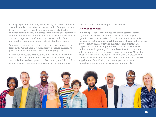BrightSpring will not knowingly hire, retain, employ or contract with any individual or entity that has been excluded from participation in any state- and/or federally-funded program. BrightSpring also will not knowingly conduct business or continue to conduct business with any individual or entity, whether independent contractor, subcontractor, supplier or vendor, who has been excluded from participation in any state- and/or federally-funded program.

You must advise your immediate supervisor, local management team or the Compliance Department if you become ineligible to participate in state- and/or federally-funded programs.

Verification of licenses, certifications, and scholastic information must be made through the appropriate licensing or certifying agency. Failure to obtain proper verification may result in the filing of a false claim if the employee or contractor providing the service

was later found not to be properly credentialed.

#### *Controlled Substances*

In many operations, only a nurse can administer medication. If you are unaware of who administers medication at your operation, ask your supervisor. If medication administration is included as part of your responsibilities, you will have routine access to prescription drugs, controlled substances and other medical supplies. It is extremely important that these items be handled and accounted for properly. You must be trained in accordance with operation/state policy to administer medications. Medications must only be used for the person to whom they are prescribed. If you become aware of the removal or diversion of drugs or medical supplies from BrightSpring, you must report the incident immediately through established operational procedure.

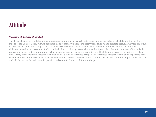### **Attitude**

#### *Violations of the Code of Conduct*

The Board of Directors shall determine, or designate appropriate persons to determine, appropriate actions to be taken in the event of violations of the Code of Conduct. Such actions shall be reasonably designed to deter wrongdoing and to promote accountability for adherence to the Code of Conduct and may include progressive corrective action, written notice to the individual involved that there has been a violation, demotion or reassignment of the individual involved, suspension with or without pay or benefits or termination of the individual's employment. In determining what action is appropriate, all relevant information shall be taken into account, including the nature and severity of the violation, whether the violation was a single occurrence or repeated occurrences, whether the violation appears to have been intentional or inadvertent, whether the individual in question had been advised prior to the violation as to the proper course of action and whether or not the individual in question had committed other violations in the past.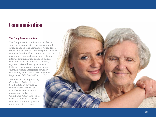### Communication

#### *The Compliance Action Line*

The Compliance Action Line is available to supplement your existing internal communi cation channels. The Compliance Action Line is intended to be used to report compliance-related concerns. You should first attempt to commu nicate your concerns through your existing internal communication channels, such as your immediate supervisor and/or local/ regional/divisional management team. If the existing internal communication channels seem inappropriate, you may either write, email or call the Compliance Department (800.866.0860, ext. 2659).

You may call the BrightSpring Compliance Action Line at 866.293.3863 at anytime. A trained interviewer will be available 24 hours a day, 365 days a year. Calls to the Compliance Action Line will not be traced and will be treated confidentially. You may remain anonymous if you choose.

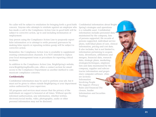No caller will be subject to retaliation for bringing forth a good faith concern. Anyone who attempts to retaliate against an employee who has made a call to the Compliance Action Line in good faith will be subject to corrective action, up to and including termination of employment.

Any person using the Compliance Action Line to purposely report false information or to attempt to settle personal grievances by making false reports or repeating reckless gossip will be subject to corrective action.

Remember, the Compliance Action Line is available to supplement existing communication channels. It is NOT intended to replace your local management team or procedures for reporting critical incidents.

In addition to the Compliance Action Line, BrightSpring's website, www.BrightSpringHealth.com, offers a contact section for email access to the Compliance Department as another method to communicate compliance concerns.

#### *Confidentiality*

Confidential information may be used to perform your job, but it must not be given to others outside BrightSpring or your department unless authorized by your supervisor.

All programs and services must ensure that the privacy of the individuals we support is honored at all times. Without specific informed authorization, any information, whether written, electronic/social media, video, photographic, audio or other personal information may not be disclosed.

Confidential information about Bright-Spring's strategies and operations is a valuable asset. Confidential information includes personnel data maintained by the company, lists of persons supported, file records of persons supported, individual service plans, individual plans of care, clinical information, pricing and cost data. It also includes, but is not limited to, information pertaining to acquisitions, divestitures, affiliations and mergers, financial data, research data, strategic plans, marketing strategies/techniques, employee lists and data maintained by the company, supplier and subcontractor information and proprietary computer software. (Also see sections: Information Involving People We Support /Privacy Rules and Financial Disclosure, Insider Information and Securities Trading.)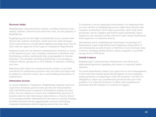#### *Electronic Media*

BrightSpring's communications systems, including electronic mail (email), intranet, internet access and voice mail, are the property of BrightSpring.

BrightSpring reserves the right to periodically access, monitor and disclose the contents of intranet, email and voice mail messages. Access and disclosure of individual employee messages may only be done with the approval of the Legal or Compliance Departments.

Employees may not use internal communication channels or access to the internet to post, store, transmit, download or distribute any threatening, reckless, maliciously false, pornographic or obscene materials. This includes anything constituting or encouraging a criminal offense, giving rise to civil liability or otherwise violating any laws.

Employees who abuse our communications systems or use them excessively for nonbusiness purposes may lose these privileges and be subject to corrective action, up to and including termination of employment.

#### *Information Security*

To ensure regulatory compliance, BrightSpring computer users are expected to maintain good security practices by being familiar with and following the Company's Information Systems Security Policy. You are expected to ensure the confidentiality (privacy) of sensitive data by only disclosing it when there is a "need to know," not accessing sensitive information for the sake of curiosity, keeping portable electronic devices appropriately secured, and locking computer workstations before stepping away from your desk.

To maintain a secure operating environment, it is important that you save all files on BrightSpring servers rather than directly onto computer workstations, never share passwords, never write down passwords, choose complex and hard-to-guess passwords, report suspicious and unusual activity, and never open email attachments from suspicious or unknown sources.

Immediately advise BrightSpring's Information Technology (IT) Department, Legal Department and Compliance Department of any information security breach or theft/loss of any electronic data or device, including mobile phones, laptop computers or portable storage device (USB drive).

#### *Outside Contacts*

BrightSpring's Communication Department will advise your department/operation regarding any known or expected media inquiries.

You must immediately contact your supervisor or local management in the event that outside media should appear at your workplace asking questions or requesting to enter the premises. You have no obligation to allow any unauthorized personnel into your work premises. It is a breach of privacy to allow such unauthorized personnel into the residence of a person we support.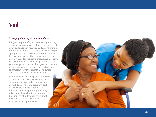### **You!**

#### *Managing Company Resources and Assets*

It is your responsibility to preserve BrightSpring's assets including employee time, materials, supplies, equipment and information. Such assets are to be maintained for business-related purposes. Bright - Spring maintains a system of internal controls to reasonably ensure that company assets are properly used for business purposes. As a general rule, you may not use any BrightSpring asset for your own personal use without your supervisor's permission. Any community or charitable use of company resources and/or assets must be approved in advance by your supervisor.

You may not use BrightSpring's resources or assets for your own personal financial gain. You are expected to manage and protect the assets of our company and of the people that we support. Any improper financial gain to you through misconduct involvingBrightSpring or the property of individuals we support is strictly prohibited. Misconduct includes the outright theft of

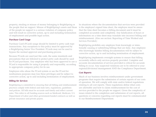property, stealing or misuse of money belonging to BrightSpring or the people that we support. Misuse of BrightSpring's assets and those of the people we support is a serious violation of company policy and will result in corrective action, up to and including termination of employment and possible legal action.

#### *Purchase Card Usage*

Purchase Card (PCard) usage should be limited to petty cash type transactions. Any exceptions to this policy must be approved by a BrightSpring Senior Vice President. PCards may not be used to bypass the normal approval and purchasing process.

Because PCards are used just like cash, the same standards and precautions that are followed to protect petty cash should be used for PCard purchases. Any employee who has been approved to use a PCard is responsible for using it properly and responsibly, according to appropriate company policy for its use.

Employees who abuse the PCard system or use the PCard for nonbusiness purposes may lose these privileges and be subject to corrective action, up to and including termination of employment.

#### *Billing for Services*

BrightSpring is committed to ensuring that all billing and reimbursement practices comply with federal and state laws, regulations, guidelines and policies. All bills must be accurate and timely and reflect current rates. This refers to all funding sources such as Medicaid, Medicare, U.S. Department of Labor and other government-funded contracts as well as private insurance and private payers.

In situations where the documentation that services were provided is the employee's signed time sheet, the employee must be aware that the time sheet becomes a billing document and it must be completed accurately and completely. Any falsification of hours or information on a time sheet may translate into incorrect billing and reimbursement. (Also see section: Reporting of Time Worked and Services Provided.)

BrightSpring prohibits any employee from knowingly or intentionally causing or submitting billings that are false. Any employee who knowingly falsifies billing documentation will be subject to corrective action, up to and including termination of employment.

BrightSpring implements oversight systems to ensure that billing accurately reflects only services properly provided. Complete and accurate documentation of services provided is critical for accurate billing to occur. Any suspected violations are to be referred to your regional/divisional management AND the Compliance Department.

#### *Cost Reports*

Much of our business involves reimbursement under government programs that require the submission of certain reports of our costs of operation. We will comply with state and/or federal regulations relating to all cost reports. These regulations define what costs are allowable and how to claim reimbursement for the cost of services provided to the people we support. Given the complexity of issues related to the completion and submission of cost reports, all questions or concerns regarding cost reports must be communicated to our Reimbursement Department.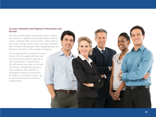#### *Accuracy, Retention and Disposal of Documents and Records*

Records include paper documents, such as letters and memos; computer-based information such as email, computer files on hard drive, USB, cloud or any other storage device; and, any other medium that contains information about BrightSpring, our business activities or the people we support.

All records must be retained in accordance with the applicable law and record retention policies specific to your operation or department. Record destruction may occur only according to BrightSpring policy. Any employee who falsifies or improperly destroys records will be subject to corrective action, up to and including termination of employment.

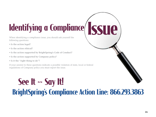# Identifying a Compliance

When identifying a compliance issue, you should ask yourself the following questions:

- **Is the action legal?**
- **Is the action ethical?**
- **Is the action supported by BrightSpring's Code of Conduct?**
- **Is the action supported by Company policy?**
- **Is it the "right thing to do"?**

If your answer to these questions indicate a possible violation of state, local or federal regulations of Company policy you must report the issue.

## See It ~~ Say It! BrightSpring's Compliance Action Line: 866.293.3863

Issue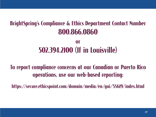### BrightSpring's Compliance & Ethics Department Contact Number 800.866.0860

### **Or** 502.394.2100 (If in Louisville)

To report compliance concerns at our Canadian or Puerto Rico operations, use our web-based reporting:

https://secure.ethicspoint.com/domain/media/en/gui/55619/index.html